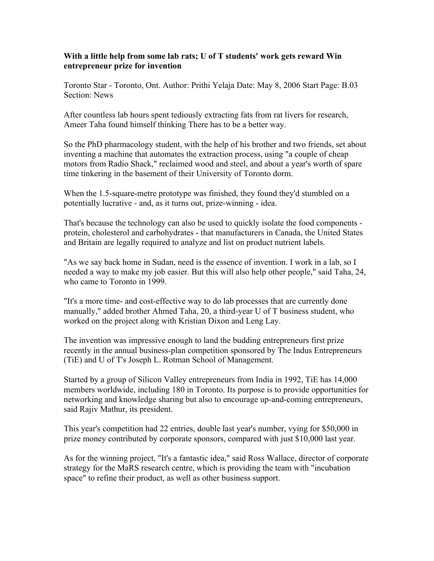## **With a little help from some lab rats; U of T students' work gets reward Win entrepreneur prize for invention**

Toronto Star - Toronto, Ont. Author: Prithi Yelaja Date: May 8, 2006 Start Page: B.03 Section: News

After countless lab hours spent tediously extracting fats from rat livers for research, Ameer Taha found himself thinking There has to be a better way.

So the PhD pharmacology student, with the help of his brother and two friends, set about inventing a machine that automates the extraction process, using "a couple of cheap motors from Radio Shack," reclaimed wood and steel, and about a year's worth of spare time tinkering in the basement of their University of Toronto dorm.

When the 1.5-square-metre prototype was finished, they found they'd stumbled on a potentially lucrative - and, as it turns out, prize-winning - idea.

That's because the technology can also be used to quickly isolate the food components protein, cholesterol and carbohydrates - that manufacturers in Canada, the United States and Britain are legally required to analyze and list on product nutrient labels.

"As we say back home in Sudan, need is the essence of invention. I work in a lab, so I needed a way to make my job easier. But this will also help other people," said Taha, 24, who came to Toronto in 1999.

"It's a more time- and cost-effective way to do lab processes that are currently done manually," added brother Ahmed Taha, 20, a third-year U of T business student, who worked on the project along with Kristian Dixon and Leng Lay.

The invention was impressive enough to land the budding entrepreneurs first prize recently in the annual business-plan competition sponsored by The Indus Entrepreneurs (TiE) and U of T's Joseph L. Rotman School of Management.

Started by a group of Silicon Valley entrepreneurs from India in 1992, TiE has 14,000 members worldwide, including 180 in Toronto. Its purpose is to provide opportunities for networking and knowledge sharing but also to encourage up-and-coming entrepreneurs, said Rajiv Mathur, its president.

This year's competition had 22 entries, double last year's number, vying for \$50,000 in prize money contributed by corporate sponsors, compared with just \$10,000 last year.

As for the winning project, "It's a fantastic idea," said Ross Wallace, director of corporate strategy for the MaRS research centre, which is providing the team with "incubation space" to refine their product, as well as other business support.